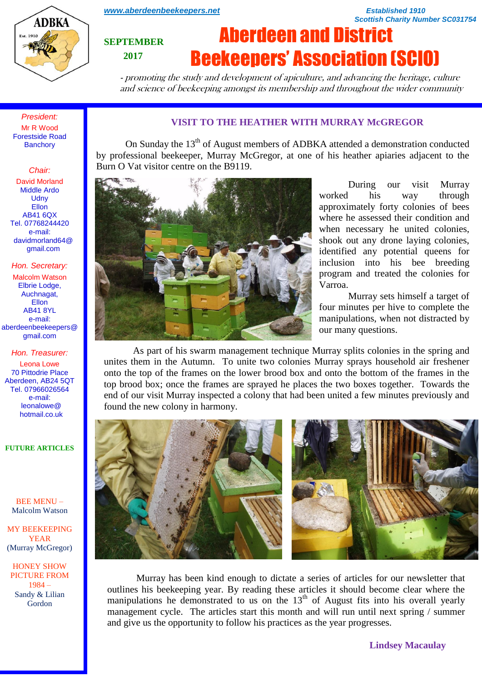

*[www.aberdeenbeekeepers.net](http://www.aberdeenbeekeepers.net/) Established 1910* 

*Scottish Charity Number SC031754*

## **SEPTEMBER 2017**

# Aberdeen and District Beekeepers' Association (SCIO)

- promoting the study and development of apiculture, and advancing the heritage, culture and science of beekeeping amongst its membership and throughout the wider community

*President:* Mr R Wood Forestside Road **Banchory** 

### *Chair:*

David Morland Middle Ardo **Udny** Ellon AB41 6QX Tel. 07768244420 e-mail: davidmorland64@ gmail.com

*Hon. Secretary:* Malcolm Watson

Elbrie Lodge, Auchnagat, **Ellon** AB41 8YL e-mail: aberdeenbeekeepers@ gmail.com

#### *Hon. Treasurer:*

Leona Lowe 70 Pittodrie Place Aberdeen, AB24 5QT Tel. 07966026564 e-mail: leonalowe@ hotmail.co.uk

**FUTURE ARTICLES**

BEE MENU – Malcolm Watson

MY BEEKEEPING YEAR (Murray McGregor)

HONEY SHOW PICTURE FROM 1984 – Sandy & Lilian Gordon

## **VISIT TO THE HEATHER WITH MURRAY McGREGOR**

On Sunday the 13<sup>th</sup> of August members of ADBKA attended a demonstration conducted by professional beekeeper, Murray McGregor, at one of his heather apiaries adjacent to the Burn O Vat visitor centre on the B9119.



During our visit Murray worked his way through approximately forty colonies of bees where he assessed their condition and when necessary he united colonies, shook out any drone laying colonies, identified any potential queens for inclusion into his bee breeding program and treated the colonies for Varroa.

Murray sets himself a target of four minutes per hive to complete the manipulations, when not distracted by our many questions.

As part of his swarm management technique Murray splits colonies in the spring and unites them in the Autumn. To unite two colonies Murray sprays household air freshener onto the top of the frames on the lower brood box and onto the bottom of the frames in the top brood box; once the frames are sprayed he places the two boxes together. Towards the end of our visit Murray inspected a colony that had been united a few minutes previously and found the new colony in harmony.



Murray has been kind enough to dictate a series of articles for our newsletter that outlines his beekeeping year. By reading these articles it should become clear where the manipulations he demonstrated to us on the  $13<sup>th</sup>$  of August fits into his overall yearly management cycle. The articles start this month and will run until next spring / summer and give us the opportunity to follow his practices as the year progresses.

**Lindsey Macaulay**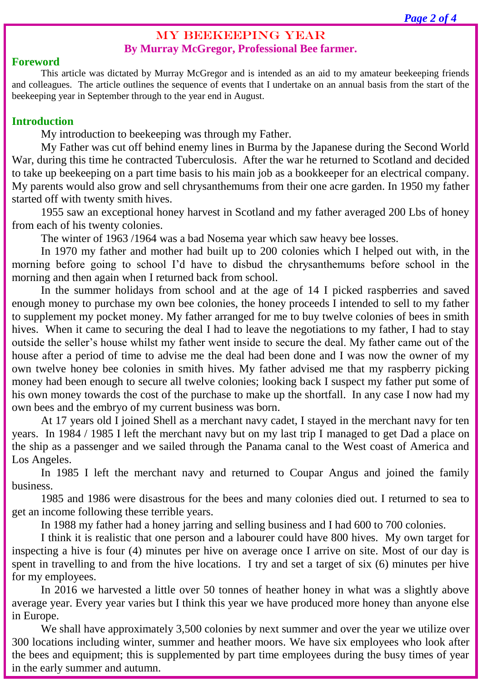## MY BEEKEEPING YEAR **By Murray McGregor, Professional Bee farmer.**

## **Foreword**

This article was dictated by Murray McGregor and is intended as an aid to my amateur beekeeping friends and colleagues. The article outlines the sequence of events that I undertake on an annual basis from the start of the beekeeping year in September through to the year end in August.

## **Introduction**

My introduction to beekeeping was through my Father.

My Father was cut off behind enemy lines in Burma by the Japanese during the Second World War, during this time he contracted Tuberculosis. After the war he returned to Scotland and decided to take up beekeeping on a part time basis to his main job as a bookkeeper for an electrical company. My parents would also grow and sell chrysanthemums from their one acre garden. In 1950 my father started off with twenty smith hives.

1955 saw an exceptional honey harvest in Scotland and my father averaged 200 Lbs of honey from each of his twenty colonies.

The winter of 1963 /1964 was a bad Nosema year which saw heavy bee losses.

In 1970 my father and mother had built up to 200 colonies which I helped out with, in the morning before going to school I'd have to disbud the chrysanthemums before school in the morning and then again when I returned back from school.

In the summer holidays from school and at the age of 14 I picked raspberries and saved enough money to purchase my own bee colonies, the honey proceeds I intended to sell to my father to supplement my pocket money. My father arranged for me to buy twelve colonies of bees in smith hives. When it came to securing the deal I had to leave the negotiations to my father, I had to stay outside the seller's house whilst my father went inside to secure the deal. My father came out of the house after a period of time to advise me the deal had been done and I was now the owner of my own twelve honey bee colonies in smith hives. My father advised me that my raspberry picking money had been enough to secure all twelve colonies; looking back I suspect my father put some of his own money towards the cost of the purchase to make up the shortfall. In any case I now had my own bees and the embryo of my current business was born.

At 17 years old I joined Shell as a merchant navy cadet, I stayed in the merchant navy for ten years. In 1984 / 1985 I left the merchant navy but on my last trip I managed to get Dad a place on the ship as a passenger and we sailed through the Panama canal to the West coast of America and Los Angeles.

In 1985 I left the merchant navy and returned to Coupar Angus and joined the family business.

1985 and 1986 were disastrous for the bees and many colonies died out. I returned to sea to get an income following these terrible years.

In 1988 my father had a honey jarring and selling business and I had 600 to 700 colonies.

I think it is realistic that one person and a labourer could have 800 hives. My own target for inspecting a hive is four (4) minutes per hive on average once I arrive on site. Most of our day is spent in travelling to and from the hive locations. I try and set a target of six (6) minutes per hive for my employees.

In 2016 we harvested a little over 50 tonnes of heather honey in what was a slightly above average year. Every year varies but I think this year we have produced more honey than anyone else in Europe.

We shall have approximately 3,500 colonies by next summer and over the year we utilize over 300 locations including winter, summer and heather moors. We have six employees who look after the bees and equipment; this is supplemented by part time employees during the busy times of year in the early summer and autumn.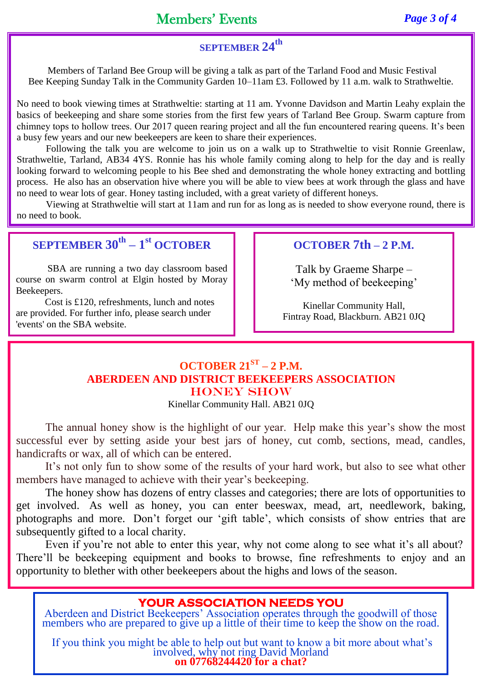Members of Tarland Bee Group will be giving a talk as part of the Tarland Food and Music Festival Bee Keeping Sunday Talk in the Community Garden 10–11am £3. Followed by 11 a.m. walk to Strathweltie.

No need to book viewing times at Strathweltie: starting at 11 am. Yvonne Davidson and Martin Leahy explain the basics of beekeeping and share some stories from the first few years of Tarland Bee Group. Swarm capture from chimney tops to hollow trees. Our 2017 queen rearing project and all the fun encountered rearing queens. It's been a busy few years and our new beekeepers are keen to share their experiences.

Following the talk you are welcome to join us on a walk up to Strathweltie to visit Ronnie Greenlaw, Strathweltie, Tarland, AB34 4YS. Ronnie has his whole family coming along to help for the day and is really looking forward to welcoming people to his Bee shed and demonstrating the whole honey extracting and bottling process. He also has an observation hive where you will be able to view bees at work through the glass and have no need to wear lots of gear. Honey tasting included, with a great variety of different honeys.

Viewing at Strathweltie will start at 11am and run for as long as is needed to show everyone round, there is no need to book.

## **SEPTEMBER 30th – 1 st OCTOBER**

SBA are running a two day classroom based course on swarm control at Elgin hosted by Moray Beekeepers.

Cost is £120, refreshments, lunch and notes are provided. For further info, please search under 'events' on the SBA website.

## **OCTOBER 7th – 2 P.M.**

Talk by Graeme Sharpe – 'My method of beekeeping'

Kinellar Community Hall, Fintray Road, Blackburn. AB21 0JQ

## **OCTOBER 21ST – 2 P.M. ABERDEEN AND DISTRICT BEEKEEPERS ASSOCIATION** HONEY SHOW

Kinellar Community Hall. AB21 0JQ

The annual honey show is the highlight of our year. Help make this year's show the most successful ever by setting aside your best jars of honey, cut comb, sections, mead, candles, handicrafts or wax, all of which can be entered.

It's not only fun to show some of the results of your hard work, but also to see what other members have managed to achieve with their year's beekeeping.

The honey show has dozens of entry classes and categories; there are lots of opportunities to get involved. As well as honey, you can enter beeswax, mead, art, needlework, baking, photographs and more. Don't forget our 'gift table', which consists of show entries that are subsequently gifted to a local charity.

Even if you're not able to enter this year, why not come along to see what it's all about? There'll be beekeeping equipment and books to browse, fine refreshments to enjoy and an opportunity to blether with other beekeepers about the highs and lows of the season.

## **YOUR ASSOCIATION NEEDS YOU**

Aberdeen and District Beekeepers' Association operates through the goodwill of those members who are prepared to give up a little of their time to keep the show on the road.

If you think you might be able to help out but want to know a bit more about what's involved, why not ring David Morland **on 07768244420 for a chat?**